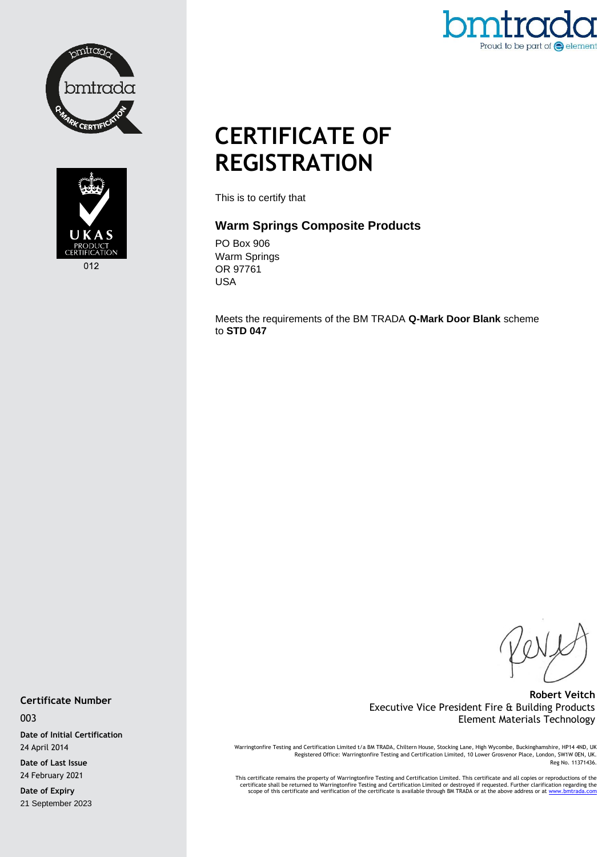





# **CERTIFICATE OF REGISTRATION**

This is to certify that

## **Warm Springs Composite Products**

PO Box 906 Warm Springs OR 97761 USA

Meets the requirements of the BM TRADA **Q-Mark Door Blank** scheme to **STD 047**

### **Robert Veitch** Executive Vice President Fire & Building Products Element Materials Technology

Warringtonfire Testing and Certification Limited t/a BM TRADA, Chiltern House, Stocking Lane, High Wycombe, Buckinghamshire, HP14 4ND, UK<br>Registered Office: Warringtonfire Testing and Certification Limited, 10 Lower Grosve Reg No. 11371436.

This certificate remains the property of Warringtonfire Testing and Certification Limited. This certificate and all copies or reproductions of the<br>Certificate shall be returned to Warringtonfire Testing and Certification L

**Certificate Number**

003

**Date of Initial Certification** 24 April 2014

**Date of Last Issue** 24 February 2021

**Date of Expiry** 21 September 2023